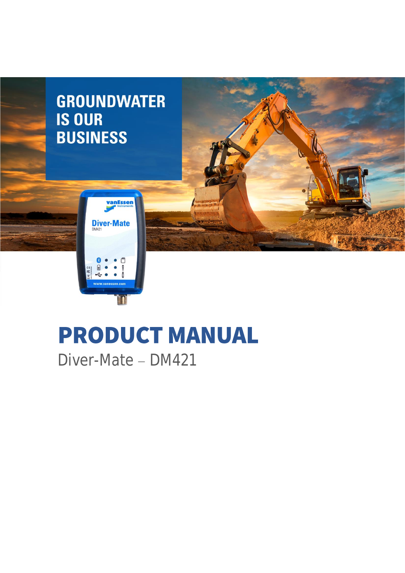

# **PRODUCT MANUAL**

Diver-Mate - DM421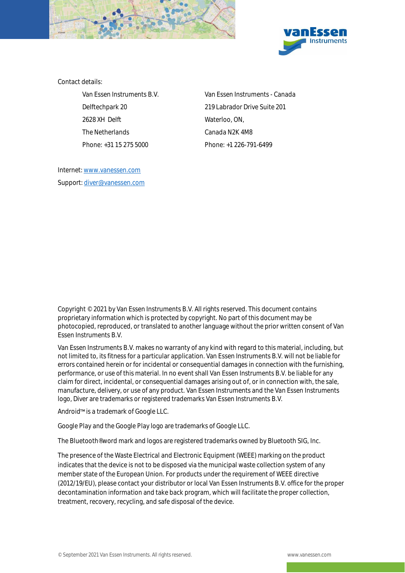



Contact details:

2628 XH Delft Waterloo, ON, The Netherlands Canada N2K 4M8 Phone: +31 15 275 5000 Phone: +1 226-791-6499

Van Essen Instruments B.V. Van Essen Instruments - Canada Delftechpark 20 219 Labrador Drive Suite 201

Internet[: www.vanessen.com](http://www.vanessen.com/) Support[: diver@vanessen.com](mailto:diver@vanessen.com)

Copyright © 2021 by Van Essen Instruments B.V. All rights reserved. This document contains proprietary information which is protected by copyright. No part of this document may be photocopied, reproduced, or translated to another language without the prior written consent of Van Essen Instruments B.V.

Van Essen Instruments B.V. makes no warranty of any kind with regard to this material, including, but not limited to, its fitness for a particular application. Van Essen Instruments B.V. will not be liable for errors contained herein or for incidental or consequential damages in connection with the furnishing, performance, or use of this material. In no event shall Van Essen Instruments B.V. be liable for any claim for direct, incidental, or consequential damages arising out of, or in connection with, the sale, manufacture, delivery, or use of any product. Van Essen Instruments and the Van Essen Instruments logo, Diver are trademarks or registered trademarks Van Essen Instruments B.V.

Android<sup>™</sup> is a trademark of Google LLC.

Google Play and the Google Play logo are trademarks of Google LLC.

The Bluetooth® word mark and logos are registered trademarks owned by Bluetooth SIG, Inc.

The presence of the Waste Electrical and Electronic Equipment (WEEE) marking on the product indicates that the device is not to be disposed via the municipal waste collection system of any member state of the European Union. For products under the requirement of WEEE directive (2012/19/EU), please contact your distributor or local Van Essen Instruments B.V. office for the proper decontamination information and take back program, which will facilitate the proper collection, treatment, recovery, recycling, and safe disposal of the device.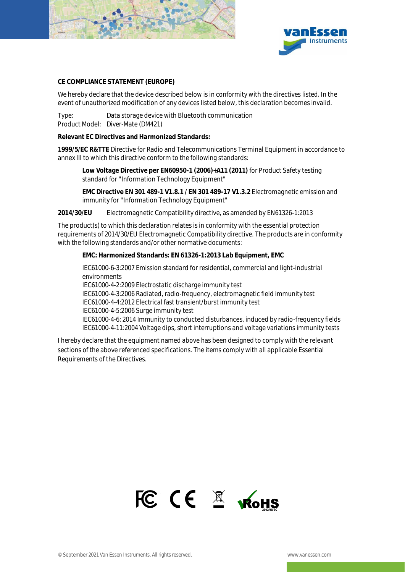

![](_page_2_Picture_1.jpeg)

#### **CE COMPLIANCE STATEMENT (EUROPE)**

We hereby declare that the device described below is in conformity with the directives listed. In the event of unauthorized modification of any devices listed below, this declaration becomes invalid.

Type: Data storage device with Bluetooth communication Product Model: Diver-Mate (DM421)

**Relevant EC Directives and Harmonized Standards:** 

**1999/5/EC R&TTE** Directive for Radio and Telecommunications Terminal Equipment in accordance to annex III to which this directive conform to the following standards:

**Low Voltage Directive per EN60950-1 (2006)+A11 (2011)** for Product Safety testing standard for "Information Technology Equipment"

**EMC Directive EN 301 489-1 V1.8.1 / EN 301 489-17 V1.3.2** Electromagnetic emission and immunity for "Information Technology Equipment"

**2014/30/EU** Electromagnetic Compatibility directive, as amended by EN61326-1:2013

The product(s) to which this declaration relates is in conformity with the essential protection requirements of 2014/30/EU Electromagnetic Compatibility directive. The products are in conformity with the following standards and/or other normative documents:

**EMC: Harmonized Standards: EN 61326-1:2013 Lab Equipment, EMC**

IEC61000-6-3:2007 Emission standard for residential, commercial and light-industrial environments

IEC61000-4-2:2009 Electrostatic discharge immunity test

IEC61000-4-3:2006 Radiated, radio-frequency, electromagnetic field immunity test

IEC61000-4-4:2012 Electrical fast transient/burst immunity test

IEC61000-4-5:2006 Surge immunity test

IEC61000-4-6: 2014 Immunity to conducted disturbances, induced by radio-frequency fields IEC61000-4-11:2004 Voltage dips, short interruptions and voltage variations immunity tests

I hereby declare that the equipment named above has been designed to comply with the relevant sections of the above referenced specifications. The items comply with all applicable Essential Requirements of the Directives.

![](_page_2_Picture_19.jpeg)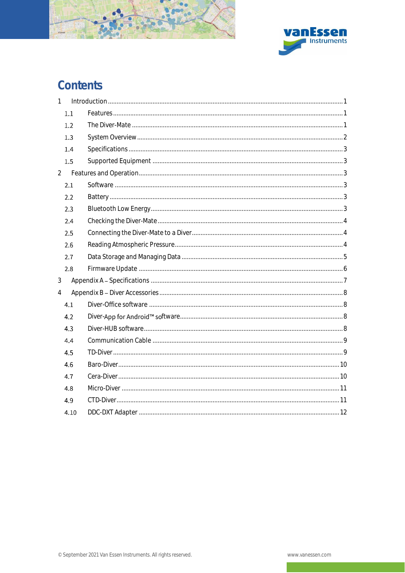![](_page_3_Picture_0.jpeg)

![](_page_3_Picture_1.jpeg)

# Contents

| $\mathbf{1}$   |      |  |
|----------------|------|--|
|                | 1.1  |  |
|                | 1.2  |  |
|                | 1,3  |  |
|                | 1.4  |  |
|                | 1.5  |  |
| $\overline{2}$ |      |  |
|                | 2.1  |  |
|                | 2.2  |  |
|                | 2.3  |  |
|                | 2.4  |  |
|                | 2.5  |  |
|                | 2.6  |  |
|                | 2.7  |  |
|                | 2.8  |  |
| $\mathfrak{Z}$ |      |  |
| $\overline{4}$ |      |  |
|                | 4.1  |  |
|                | 4.2  |  |
|                | 4.3  |  |
|                | 4,4  |  |
|                | 4,5  |  |
|                | 4.6  |  |
|                | 4.7  |  |
|                | 4.8  |  |
|                | 4.9  |  |
|                | 4.10 |  |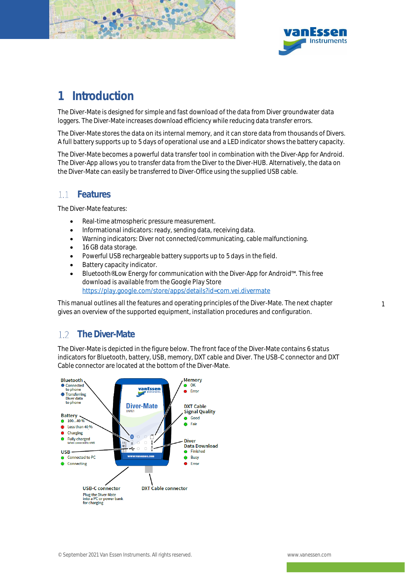![](_page_4_Picture_0.jpeg)

![](_page_4_Picture_1.jpeg)

1

### <span id="page-4-0"></span>1 Introduction

The Diver-Mate is designed for simple and fast download of the data from Diver groundwater data loggers. The Diver-Mate increases download efficiency while reducing data transfer errors.

The Diver-Mate stores the data on its internal memory, and it can store data from thousands of Divers. A full battery supports up to 5 days of operational use and a LED indicator shows the battery capacity.

The Diver-Mate becomes a powerful data transfer tool in combination with the Diver-App for Android. The Diver-App allows you to transfer data from the Diver to the Diver-HUB. Alternatively, the data on the Diver-Mate can easily be transferred to Diver-Office using the supplied USB cable.

#### <span id="page-4-1"></span>1.1 Features

The Diver-Mate features:

- Real-time atmospheric pressure measurement.
- Informational indicators: ready, sending data, receiving data.
- Warning indicators: Diver not connected/communicating, cable malfunctioning.
- 16 GB data storage.
- Powerful USB rechargeable battery supports up to 5 days in the field.
- Battery capacity indicator.
- Bluetooth® Low Energy for communication with the Diver-App for Android™. This free download is available from the Google Play Store <https://play.google.com/store/apps/details?id=com.vei.divermate>

This manual outlines all the features and operating principles of the Diver-Mate. The next chapter gives an overview of the supported equipment, installation procedures and configuration.

### <span id="page-4-2"></span>1.2 The Diver-Mate

The Diver-Mate is depicted in the figure below. The front face of the Diver-Mate contains 6 status indicators for Bluetooth, battery, USB, memory, DXT cable and Diver. The USB-C connector and DXT Cable connector are located at the bottom of the Diver-Mate.

![](_page_4_Figure_18.jpeg)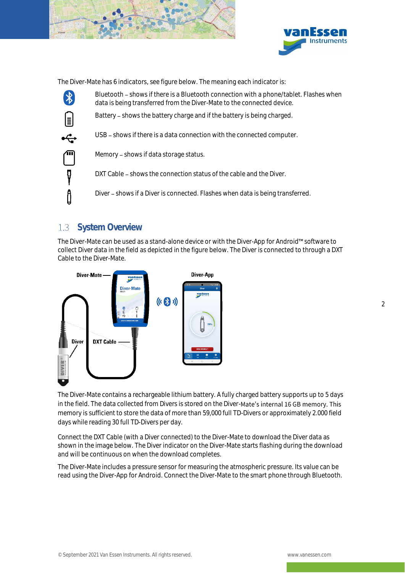![](_page_5_Picture_0.jpeg)

![](_page_5_Picture_1.jpeg)

The Diver-Mate has 6 indicators, see figure below. The meaning each indicator is:

![](_page_5_Figure_3.jpeg)

Bluetooth – shows if there is a Bluetooth connection with a phone/tablet. Flashes when data is being transferred from the Diver-Mate to the connected device.

Battery - shows the battery charge and if the battery is being charged.

USB - shows if there is a data connection with the connected computer.

Memory - shows if data storage status.

DXT Cable – shows the connection status of the cable and the Diver.

Diver - shows if a Diver is connected. Flashes when data is being transferred.

### <span id="page-5-0"></span>1.3 System Overview

The Diver-Mate can be used as a stand-alone device or with the Diver-App for Android™ software to collect Diver data in the field as depicted in the figure below. The Diver is connected to through a DXT Cable to the Diver-Mate.

![](_page_5_Figure_12.jpeg)

The Diver-Mate contains a rechargeable lithium battery. A fully charged battery supports up to 5 days in the field. The data collected from Divers is stored on the Diver-Mate's internal 16 GB memory. This memory is sufficient to store the data of more than 59,000 full TD-Divers or approximately 2.000 field days while reading 30 full TD-Divers per day.

Connect the DXT Cable (with a Diver connected) to the Diver-Mate to download the Diver data as shown in the image below. The Diver indicator on the Diver-Mate starts flashing during the download and will be continuous on when the download completes.

The Diver-Mate includes a pressure sensor for measuring the atmospheric pressure. Its value can be read using the Diver-App for Android. Connect the Diver-Mate to the smart phone through Bluetooth.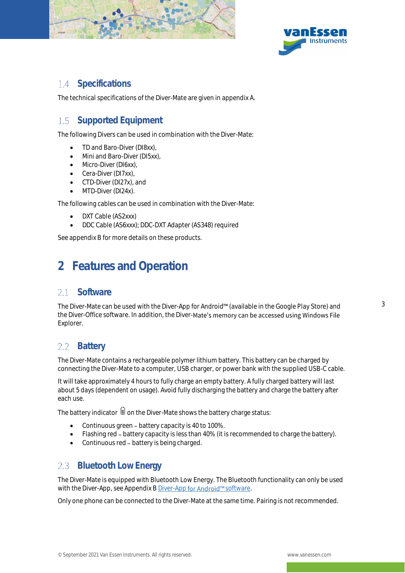![](_page_6_Picture_0.jpeg)

![](_page_6_Picture_1.jpeg)

#### <span id="page-6-0"></span>1.4 Specifications

The technical specifications of the Diver-Mate are given in appendix A.

#### <span id="page-6-1"></span>1.5 Supported Equipment

The following Divers can be used in combination with the Diver-Mate:

- TD and Baro-Diver (DI8xx),
- Mini and Baro-Diver (DI5xx),
- Micro-Diver (DI6xx),
- Cera-Diver (DI7xx),
- CTD-Diver (DI27x), and
- MTD-Diver (DI24x).

The following cables can be used in combination with the Diver-Mate:

- DXT Cable (AS2xxx)
- DDC Cable (AS6xxx); DDC-DXT Adapter (AS348) required

<span id="page-6-2"></span>See appendix B for more details on these products.

# 2 Features and Operation

#### <span id="page-6-3"></span>**Software**  $2.1$

The Diver-Mate can be used with the Diver-App for Android™ (available in the Google Play Store) and the Diver-Office software. In addition, the Diver-Mate's memory can be accessed using Windows File Explorer.

### <span id="page-6-4"></span>2.2 Battery

The Diver-Mate contains a rechargeable polymer lithium battery. This battery can be charged by connecting the Diver-Mate to a computer, USB charger, or power bank with the supplied USB-C cable.

It will take approximately 4 hours to fully charge an empty battery. A fully charged battery will last about 5 days (dependent on usage). Avoid fully discharging the battery and charge the battery after each use.

The battery indicator  $\Box$  on the Diver-Mate shows the battery charge status:

- Continuous green battery capacity is 40 to 100%.
- Flashing red battery capacity is less than 40% (it is recommended to charge the battery).
- Continuous red battery is being charged.

### <span id="page-6-5"></span>2.3 Bluetooth Low Energy

The Diver-Mate is equipped with Bluetooth Low Energy. The Bluetooth functionality can only be used with the Diver-App, see Appendix [B Diver-App](#page-11-2) for Android™ software.

Only one phone can be connected to the Diver-Mate at the same time. Pairing is not recommended.

3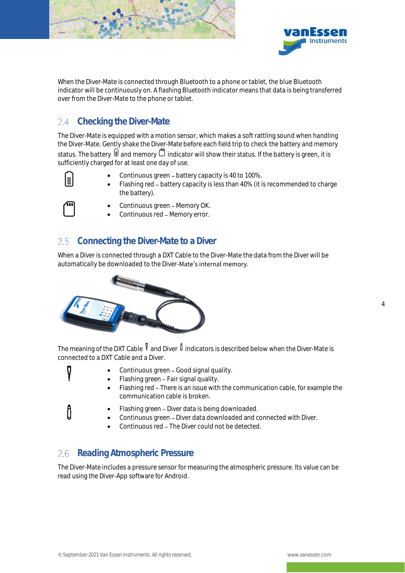![](_page_7_Picture_0.jpeg)

![](_page_7_Picture_1.jpeg)

4

When the Diver-Mate is connected through Bluetooth to a phone or tablet, the blue Bluetooth indicator will be continuously on. A flashing Bluetooth indicator means that data is being transferred over from the Diver-Mate to the phone or tablet.

### <span id="page-7-0"></span>2.4 Checking the Diver-Mate

The Diver-Mate is equipped with a motion sensor, which makes a soft rattling sound when handling the Diver-Mate. Gently shake the Diver-Mate before each field trip to check the battery and memory status. The battery  $\Box$  and memory  $\Box$  indicator will show their status. If the battery is green, it is sufficiently charged for at least one day of use.

- Continuous green battery capacity is 40 to 100%.
- Flashing red battery capacity is less than 40% (it is recommended to charge the battery).

![](_page_7_Picture_7.jpeg)

Ų

ᠿ

- Continuous green Memory OK.
- Continuous red Memory error.

#### <span id="page-7-1"></span>2.5 Connecting the Diver-Mate to a Diver

When a Diver is connected through a DXT Cable to the Diver-Mate the data from the Diver will be automatically be downloaded to the Diver-Mate's internal memory.

![](_page_7_Picture_12.jpeg)

The meaning of the DXT Cable  $\sqrt[q]{\ }$  and Diver  $\sqrt[\]{\ }$  indicators is described below when the Diver-Mate is connected to a DXT Cable and a Diver.

- Continuous green Good signal quality.
- Flashing green Fair signal quality.
	- Flashing red There is an issue with the communication cable, for example the communication cable is broken.
	- Flashing green Diver data is being downloaded.
	- Continuous green Diver data downloaded and connected with Diver.
	- Continuous red The Diver could not be detected.

#### <span id="page-7-2"></span>2.6 Reading Atmospheric Pressure

The Diver-Mate includes a pressure sensor for measuring the atmospheric pressure. Its value can be read using the Diver-App software for Android.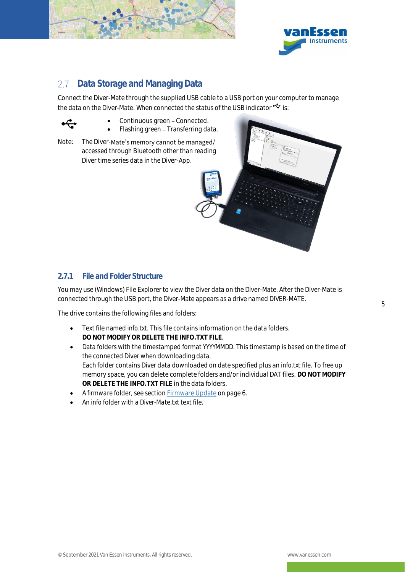![](_page_8_Picture_0.jpeg)

![](_page_8_Picture_1.jpeg)

#### <span id="page-8-0"></span>Data Storage and Managing Data  $2.7$

Connect the Diver-Mate through the supplied USB cable to a USB port on your computer to manage the data on the Diver-Mate. When connected the status of the USB indicator  $\mathfrak{S}$  is:

![](_page_8_Picture_4.jpeg)

- Continuous green Connected.
	- Flashing green Transferring data.
- Note: The Diver-Mate's memory cannot be managed/ accessed through Bluetooth other than reading Diver time series data in the Diver-App.

![](_page_8_Picture_8.jpeg)

#### 2.7.1 File and Folder Structure

You may use (Windows) File Explorer to view the Diver data on the Diver-Mate. After the Diver-Mate is connected through the USB port, the Diver-Mate appears as a drive named DIVER-MATE.

The drive contains the following files and folders:

- Text file named *info.txt*. This file contains information on the data folders. **DO NOT MODIFY OR DELETE THE INFO.TXT FILE**.
- Data folders with the timestamped format *YYYYMMDD*. This timestamp is based on the time of the connected Diver when downloading data. Each folder contains Diver data downloaded on date specified plus an *info.txt* file. To free up memory space, you can delete complete folders and/or individual DAT files. **DO NOT MODIFY OR DELETE THE INFO.TXT FILE** in the data folders.
- A *firmware* folder, see sectio[n Firmware Update](#page-9-0) on page [6.](#page-9-0)
- An *info* folder with a *Diver-Mate.txt* text file.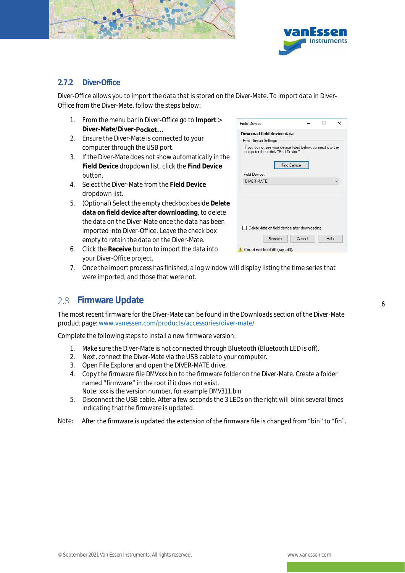![](_page_9_Picture_0.jpeg)

![](_page_9_Picture_1.jpeg)

#### 2.7.2 Diver-Office

Diver-Office allows you to import the data that is stored on the Diver-Mate. To import data in Diver-Office from the Diver-Mate, follow the steps below:

- 1. From the menu bar in Diver-Office go to **Import** > **Diver-Mate/Diver-**
- 2. Ensure the Diver-Mate is connected to your computer through the USB port.
- 3. If the Diver-Mate does not show automatically in the **Field Device** dropdown list, click the **Find Device** button.
- 4. Select the Diver-Mate from the **Field Device** dropdown list.
- 5. (Optional) Select the empty checkbox beside **Delete data on field device after downloading**, to delete the data on the Diver-Mate once the data has been imported into Diver-Office. Leave the check box empty to retain the data on the Diver-Mate.

| <b>Field Device</b>                                                                                 |                    |        |      | × |
|-----------------------------------------------------------------------------------------------------|--------------------|--------|------|---|
| Download field device data                                                                          |                    |        |      |   |
| <b>Field Device Settings</b>                                                                        |                    |        |      |   |
| If you do not see your device listed below, connect it to the<br>computer then click "Find Device". |                    |        |      |   |
| Field Device:                                                                                       | <b>Find Device</b> |        |      |   |
| DIVER-MATE                                                                                          |                    |        |      |   |
|                                                                                                     |                    |        |      |   |
| Delete data on field device after downloading<br>Receive                                            |                    | Cancel | Help |   |

- 6. Click the **Receive** button to import the data into your Diver-Office project.
- 7. Once the import process has finished, a log window will display listing the time series that were imported, and those that were not.

### <span id="page-9-0"></span>2.8 Firmware Update

The most recent firmware for the Diver-Mate can be found in the Downloads section of the Diver-Mate product page[: www.vanessen.com/products/accessories/diver-mate/](http://www.vanessen.com/products/accessories/diver-mate/)

Complete the following steps to install a new firmware version:

- 1. Make sure the Diver-Mate is not connected through Bluetooth (Bluetooth LED is off).
- 2. Next, connect the Diver-Mate via the USB cable to your computer.
- 3. Open File Explorer and open the DIVER-MATE drive.
- 4. Copy the firmware file *DMVxxx.bin* to the firmware folder on the Diver-Mate. Create a folder named "firmware" in the root if it does not exist. Note: xxx is the version number, for example *DMV311.bin*
- 5. Disconnect the USB cable. After a few seconds the 3 LEDs on the right will blink several times indicating that the firmware is updated.
- Note: After the firmware is updated the extension of the firmware file is changed from "bin" to "fin".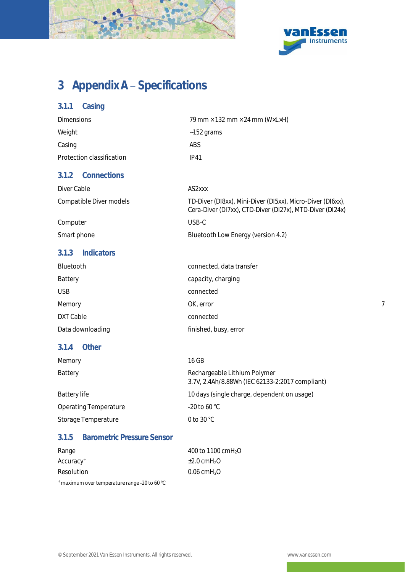![](_page_10_Picture_0.jpeg)

![](_page_10_Picture_1.jpeg)

# <span id="page-10-0"></span>3 Appendix A - Specifications

| 3.1.1<br>Casing                            |                                                                                                                        |  |  |  |
|--------------------------------------------|------------------------------------------------------------------------------------------------------------------------|--|--|--|
| <b>Dimensions</b>                          | 79 mm × 132 mm × 24 mm (W×L×H)                                                                                         |  |  |  |
| Weight                                     | $~152$ grams                                                                                                           |  |  |  |
| Casing                                     | ABS                                                                                                                    |  |  |  |
| Protection classification                  | <b>IP41</b>                                                                                                            |  |  |  |
| Connections<br>3.1.2                       |                                                                                                                        |  |  |  |
| Diver Cable                                | AS2xxx                                                                                                                 |  |  |  |
| Compatible Diver models                    | TD-Diver (DI8xx), Mini-Diver (DI5xx), Micro-Diver (DI6xx),<br>Cera-Diver (DI7xx), CTD-Diver (DI27x), MTD-Diver (DI24x) |  |  |  |
| Computer                                   | USB-C                                                                                                                  |  |  |  |
| Smart phone                                | Bluetooth Low Energy (version 4.2)                                                                                     |  |  |  |
| Indicators<br>3.1.3                        |                                                                                                                        |  |  |  |
| Bluetooth                                  | connected, data transfer                                                                                               |  |  |  |
| Battery                                    | capacity, charging                                                                                                     |  |  |  |
| <b>USB</b>                                 | connected                                                                                                              |  |  |  |
| Memory                                     | OK, error                                                                                                              |  |  |  |
| <b>DXT Cable</b>                           | connected                                                                                                              |  |  |  |
| Data downloading                           | finished, busy, error                                                                                                  |  |  |  |
| Other<br>3.1.4                             |                                                                                                                        |  |  |  |
| Memory                                     | 16 GB                                                                                                                  |  |  |  |
| Battery                                    | Rechargeable Lithium Polymer<br>3.7V, 2.4Ah/8.88Wh (IEC 62133-2:2017 compliant)                                        |  |  |  |
| <b>Battery life</b>                        | 10 days (single charge, dependent on usage)                                                                            |  |  |  |
| <b>Operating Temperature</b>               | -20 to 60 °C                                                                                                           |  |  |  |
| Storage Temperature                        | 0 to 30 °C                                                                                                             |  |  |  |
| 3.1.5<br><b>Barometric Pressure Sensor</b> |                                                                                                                        |  |  |  |

| Range                 | 400 to 1100 cmH <sub>2</sub> O     |
|-----------------------|------------------------------------|
| Accuracy <sup>+</sup> | $\pm 2.0$ cmH <sub>2</sub> O       |
| Resolution            | $0.06 \text{ cm}$ H <sub>2</sub> O |

<sup>+</sup> maximum over temperature range -20 to 60 °C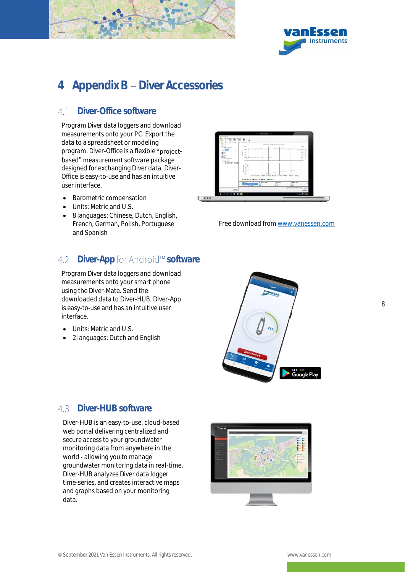![](_page_11_Picture_0.jpeg)

![](_page_11_Picture_1.jpeg)

# <span id="page-11-0"></span>4 Appendix B - Diver Accessories

#### <span id="page-11-1"></span>Diver-Office software  $41$

Program Diver data loggers and download measurements onto your PC. Export the data to a spreadsheet or modeling program. Diver-Office is a flexible "projectbased" measurement software package designed for exchanging Diver data. Diver-Office is easy-to-use and has an intuitive user interface.

- Barometric compensation
- Units: Metric and U.S.
- 8 languages: Chinese, Dutch, English, French, German, Polish, Portuguese and Spanish

#### <span id="page-11-2"></span>Diver-App for Android™ software  $4.2$

Program Diver data loggers and download measurements onto your smart phone using the Diver-Mate. Send the downloaded data to Diver-HUB. Diver-App is easy-to-use and has an intuitive user interface.

- Units: Metric and U.S.
- 2 languages: Dutch and English

![](_page_11_Figure_12.jpeg)

Free download fro[m www.vanessen.com](http://www.vanessen.com/)

![](_page_11_Picture_14.jpeg)

#### <span id="page-11-3"></span>4.3 Diver-HUB software

Diver-HUB is an easy-to-use, cloud-based web portal delivering centralized and secure access to your groundwater monitoring data from anywhere in the world - allowing you to manage groundwater monitoring data in real-time. Diver-HUB analyzes Diver data logger time-series, and creates interactive maps and graphs based on your monitoring data.

![](_page_11_Figure_17.jpeg)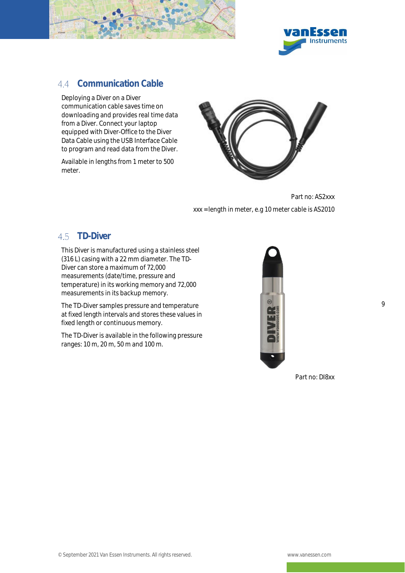![](_page_12_Picture_0.jpeg)

![](_page_12_Picture_1.jpeg)

### <span id="page-12-0"></span>4.4 Communication Cable

Deploying a Diver on a Diver communication cable saves time on downloading and provides real time data from a Diver. Connect your laptop equipped with Diver-Office to the Diver Data Cable using the USB Interface Cable to program and read data from the Diver.

Available in lengths from 1 meter to 500 meter.

![](_page_12_Picture_5.jpeg)

Part no: AS2xxx xxx = length in meter, e.g 10 meter cable is AS2010

#### <span id="page-12-1"></span>4.5 TD-Diver

This Diver is manufactured using a stainless steel (316 L) casing with a 22 mm diameter. The TD-Diver can store a maximum of 72,000 measurements (date/time, pressure and temperature) in its working memory and 72,000 measurements in its backup memory.

The TD-Diver samples pressure and temperature at fixed length intervals and stores these values in fixed length or continuous memory.

The TD-Diver is available in the following pressure ranges: 10 m, 20 m, 50 m and 100 m.

![](_page_12_Picture_11.jpeg)

Part no: DI8xx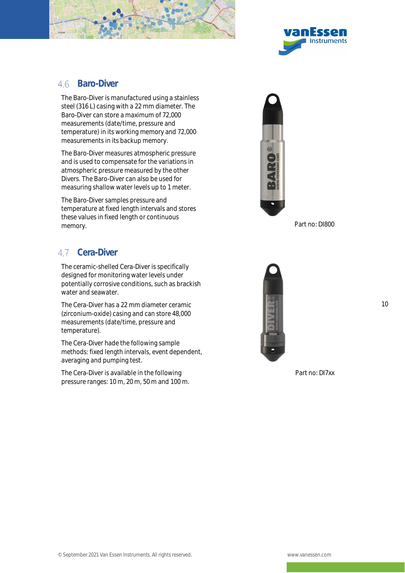![](_page_13_Picture_0.jpeg)

![](_page_13_Picture_1.jpeg)

#### <span id="page-13-0"></span>46 Baro-Diver

The Baro-Diver is manufactured using a stainless steel (316 L) casing with a 22 mm diameter. The Baro-Diver can store a maximum of 72,000 measurements (date/time, pressure and temperature) in its working memory and 72,000 measurements in its backup memory.

The Baro-Diver measures atmospheric pressure and is used to compensate for the variations in atmospheric pressure measured by the other Divers. The Baro-Diver can also be used for measuring shallow water levels up to 1 meter.

The Baro-Diver samples pressure and temperature at fixed length intervals and stores these values in fixed length or continuous memory. **Part no: DI800** 

### <span id="page-13-1"></span>47 Cera-Diver

The ceramic-shelled Cera-Diver is specifically designed for monitoring water levels under potentially corrosive conditions, such as brackish water and seawater.

The Cera-Diver has a 22 mm diameter ceramic (zirconium-oxide) casing and can store 48,000 measurements (date/time, pressure and temperature).

The Cera-Diver hade the following sample methods: fixed length intervals, event dependent, averaging and pumping test.

The Cera-Diver is available in the following pressure ranges: 10 m, 20 m, 50 m and 100 m.

![](_page_13_Picture_11.jpeg)

![](_page_13_Picture_13.jpeg)

10

Part no: DI7xx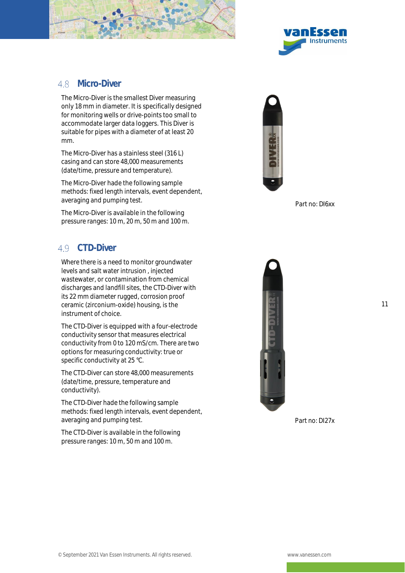![](_page_14_Picture_0.jpeg)

![](_page_14_Picture_1.jpeg)

#### <span id="page-14-0"></span>48 Micro-Diver

The Micro-Diver is the smallest Diver measuring only 18 mm in diameter. It is specifically designed for monitoring wells or drive-points too small to accommodate larger data loggers. This Diver is suitable for pipes with a diameter of at least 20 mm.

The Micro-Diver has a stainless steel (316 L) casing and can store 48,000 measurements (date/time, pressure and temperature).

The Micro-Diver hade the following sample methods: fixed length intervals, event dependent, averaging and pumping test.

The Micro-Diver is available in the following pressure ranges: 10 m, 20 m, 50 m and 100 m.

#### <span id="page-14-1"></span>49 CTD-Diver

Where there is a need to monitor groundwater levels and salt water intrusion , injected wastewater, or contamination from chemical discharges and landfill sites, the CTD-Diver with its 22 mm diameter rugged, corrosion proof ceramic (zirconium-oxide) housing, is the instrument of choice.

The CTD-Diver is equipped with a four-electrode conductivity sensor that measures electrical conductivity from 0 to 120 mS/cm. There are two options for measuring conductivity: true or specific conductivity at 25 °C.

The CTD-Diver can store 48,000 measurements (date/time, pressure, temperature and conductivity).

The CTD-Diver hade the following sample methods: fixed length intervals, event dependent, averaging and pumping test.

The CTD-Diver is available in the following pressure ranges: 10 m, 50 m and 100 m.

![](_page_14_Picture_13.jpeg)

Part no: DI6xx

![](_page_14_Picture_15.jpeg)

Part no: DI27x

11